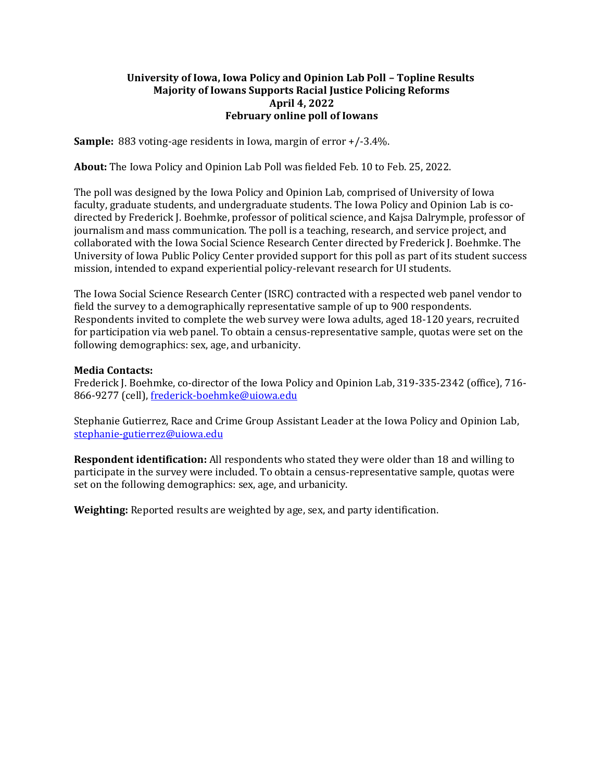## **University of Iowa, Iowa Policy and Opinion Lab Poll – Topline Results Majority of Iowans Supports Racial Justice Policing Reforms April 4, 2022 February online poll of Iowans**

**Sample:** 883 voting-age residents in Iowa, margin of error +/-3.4%.

**About:** The Iowa Policy and Opinion Lab Poll was fielded Feb. 10 to Feb. 25, 2022.

The poll was designed by the Iowa Policy and Opinion Lab, comprised of University of Iowa faculty, graduate students, and undergraduate students. The Iowa Policy and Opinion Lab is codirected by Frederick J. Boehmke, professor of political science, and Kajsa Dalrymple, professor of journalism and mass communication. The poll is a teaching, research, and service project, and collaborated with the Iowa Social Science Research Center directed by Frederick J. Boehmke. The University of Iowa Public Policy Center provided support for this poll as part of its student success mission, intended to expand experiential policy-relevant research for UI students.

The Iowa Social Science Research Center (ISRC) contracted with a respected web panel vendor to field the survey to a demographically representative sample of up to 900 respondents. Respondents invited to complete the web survey were Iowa adults, aged 18-120 years, recruited for participation via web panel. To obtain a census-representative sample, quotas were set on the following demographics: sex, age, and urbanicity.

## **Media Contacts:**

Frederick J. Boehmke, co-director of the Iowa Policy and Opinion Lab, 319-335-2342 (office), 716 866-9277 (cell), [frederick-boehmke@uiowa.edu](mailto:frederick-boehmke@uiowa.edu)

Stephanie Gutierrez, Race and Crime Group Assistant Leader at the Iowa Policy and Opinion Lab, [stephanie-gutierrez@uiowa.edu](mailto:stephanie-gutierrez@uiowa.edu)

**Respondent identification:** All respondents who stated they were older than 18 and willing to participate in the survey were included. To obtain a census-representative sample, quotas were set on the following demographics: sex, age, and urbanicity.

**Weighting:** Reported results are weighted by age, sex, and party identification.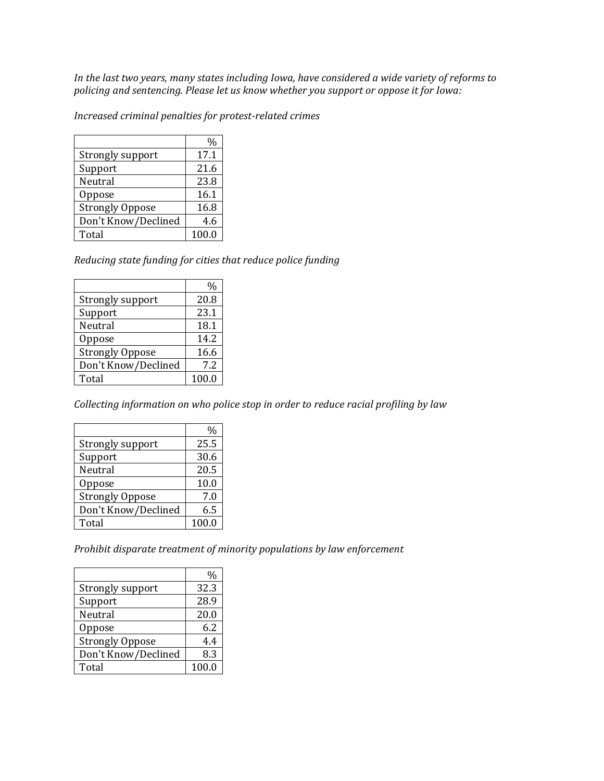*In the last two years, many states including Iowa, have considered a wide variety of reforms to policing and sentencing. Please let us know whether you support or oppose it for Iowa:* 

*Increased criminal penalties for protest-related crimes*

|                        | $\frac{0}{0}$ |
|------------------------|---------------|
| Strongly support       | 17.1          |
| Support                | 21.6          |
| Neutral                | 23.8          |
| Oppose                 | 16.1          |
| <b>Strongly Oppose</b> | 16.8          |
| Don't Know/Declined    | 4.6           |
| Total                  | 100.0         |

*Reducing state funding for cities that reduce police funding* 

|                        | %     |
|------------------------|-------|
| Strongly support       | 20.8  |
| Support                | 23.1  |
| Neutral                | 18.1  |
| Oppose                 | 14.2  |
| <b>Strongly Oppose</b> | 16.6  |
| Don't Know/Declined    | 7.2   |
| Total                  | 100.0 |

*Collecting information on who police stop in order to reduce racial profiling by law*

|                        | ℅     |
|------------------------|-------|
| Strongly support       | 25.5  |
| Support                | 30.6  |
| Neutral                | 20.5  |
| Oppose                 | 10.0  |
| <b>Strongly Oppose</b> | 7.0   |
| Don't Know/Declined    | 6.5   |
| Total                  | 100.0 |

*Prohibit disparate treatment of minority populations by law enforcement*

|                        | %     |
|------------------------|-------|
| Strongly support       | 32.3  |
| Support                | 28.9  |
| Neutral                | 20.0  |
| Oppose                 | 6.2   |
| <b>Strongly Oppose</b> | 4.4   |
| Don't Know/Declined    | 8.3   |
| Total                  | 100.0 |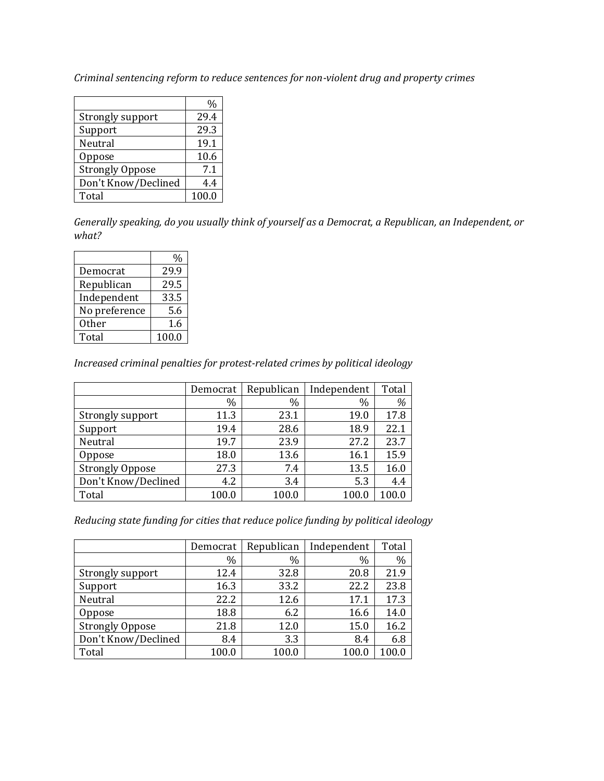*Criminal sentencing reform to reduce sentences for non-violent drug and property crimes*

|                        | %     |
|------------------------|-------|
| Strongly support       | 29.4  |
| Support                | 29.3  |
| Neutral                | 19.1  |
| Oppose                 | 10.6  |
| <b>Strongly Oppose</b> | 7.1   |
| Don't Know/Declined    | 4.4   |
| Total                  | 100.0 |

*Generally speaking, do you usually think of yourself as a Democrat, a Republican, an Independent, or what?* 

| Democrat      | 29.9  |
|---------------|-------|
| Republican    | 29.5  |
| Independent   | 33.5  |
| No preference | 5.6   |
| 0ther         | 1.6   |
| Total         | 100.0 |

*Increased criminal penalties for protest-related crimes by political ideology* 

|                        | Democrat | Republican | Independent | Total |
|------------------------|----------|------------|-------------|-------|
|                        | $\%$     | $\%$       | $\%$        | %     |
| Strongly support       | 11.3     | 23.1       | 19.0        | 17.8  |
| Support                | 19.4     | 28.6       | 18.9        | 22.1  |
| Neutral                | 19.7     | 23.9       | 27.2        | 23.7  |
| Oppose                 | 18.0     | 13.6       | 16.1        | 15.9  |
| <b>Strongly Oppose</b> | 27.3     | 7.4        | 13.5        | 16.0  |
| Don't Know/Declined    | 4.2      | 3.4        | 5.3         | 4.4   |
| Total                  | 100.0    | 100.0      | 100.0       | 100.0 |

*Reducing state funding for cities that reduce police funding by political ideology* 

|                        | Democrat | Republican | Independent | Total         |
|------------------------|----------|------------|-------------|---------------|
|                        | $\%$     | $\%$       | $\%$        | $\frac{0}{0}$ |
| Strongly support       | 12.4     | 32.8       | 20.8        | 21.9          |
| Support                | 16.3     | 33.2       | 22.2        | 23.8          |
| Neutral                | 22.2     | 12.6       | 17.1        | 17.3          |
| Oppose                 | 18.8     | 6.2        | 16.6        | 14.0          |
| <b>Strongly Oppose</b> | 21.8     | 12.0       | 15.0        | 16.2          |
| Don't Know/Declined    | 8.4      | 3.3        | 8.4         | 6.8           |
| Total                  | 100.0    | 100.0      | 100.0       |               |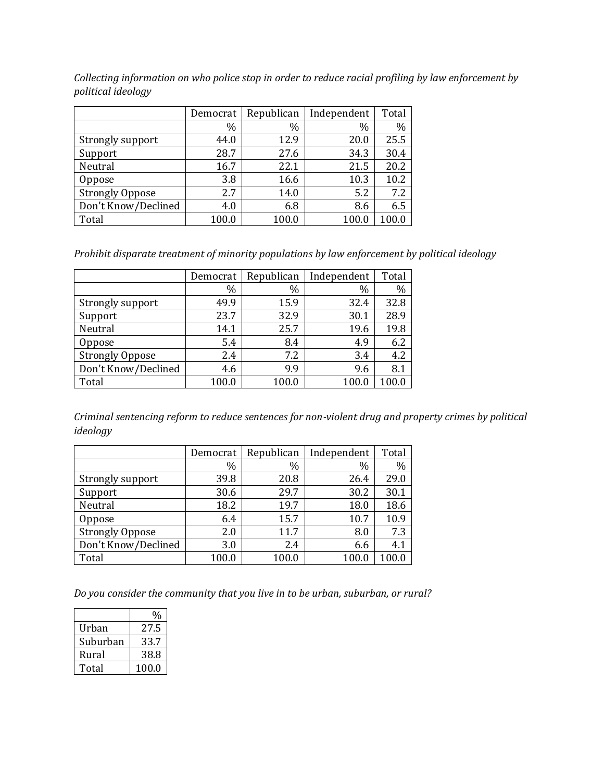*Collecting information on who police stop in order to reduce racial profiling by law enforcement by political ideology*

|                        | Democrat | Republican | Independent | Total |
|------------------------|----------|------------|-------------|-------|
|                        | $\%$     | $\%$       | $\%$        | $\%$  |
| Strongly support       | 44.0     | 12.9       | 20.0        | 25.5  |
| Support                | 28.7     | 27.6       | 34.3        | 30.4  |
| Neutral                | 16.7     | 22.1       | 21.5        | 20.2  |
| Oppose                 | 3.8      | 16.6       | 10.3        | 10.2  |
| <b>Strongly Oppose</b> | 2.7      | 14.0       | 5.2         | 7.2   |
| Don't Know/Declined    | 4.0      | 6.8        | 8.6         | 6.5   |
| Total                  | 100.0    | 100.0      | 100.0       | 100.0 |

*Prohibit disparate treatment of minority populations by law enforcement by political ideology* 

|                        | Democrat | Republican | Independent | Total         |
|------------------------|----------|------------|-------------|---------------|
|                        | $\%$     | $\%$       | $\%$        | $\frac{0}{0}$ |
| Strongly support       | 49.9     | 15.9       | 32.4        | 32.8          |
| Support                | 23.7     | 32.9       | 30.1        | 28.9          |
| Neutral                | 14.1     | 25.7       | 19.6        | 19.8          |
| Oppose                 | 5.4      | 8.4        | 4.9         | 6.2           |
| <b>Strongly Oppose</b> | 2.4      | 7.2        | 3.4         | 4.2           |
| Don't Know/Declined    | 4.6      | 9.9        | 9.6         | 8.1           |
| Total                  | 100.0    | 100.0      | 100.0       | 100.0         |

*Criminal sentencing reform to reduce sentences for non-violent drug and property crimes by political ideology*

|                        | Democrat | Republican | Independent   | Total |
|------------------------|----------|------------|---------------|-------|
|                        | %        | $\%$       | $\frac{0}{0}$ | $\%$  |
| Strongly support       | 39.8     | 20.8       | 26.4          | 29.0  |
| Support                | 30.6     | 29.7       | 30.2          | 30.1  |
| Neutral                | 18.2     | 19.7       | 18.0          | 18.6  |
| Oppose                 | 6.4      | 15.7       | 10.7          | 10.9  |
| <b>Strongly Oppose</b> | 2.0      | 11.7       | 8.0           | 7.3   |
| Don't Know/Declined    | 3.0      | 2.4        | 6.6           | 4.1   |
| Total                  | 100.0    | 100.0      | 100.0         | 100.0 |

*Do you consider the community that you live in to be urban, suburban, or rural?* 

| Urban    | 27.5  |
|----------|-------|
| Suburban | 33.7  |
| Rural    | 38.8  |
| Total    | 100.0 |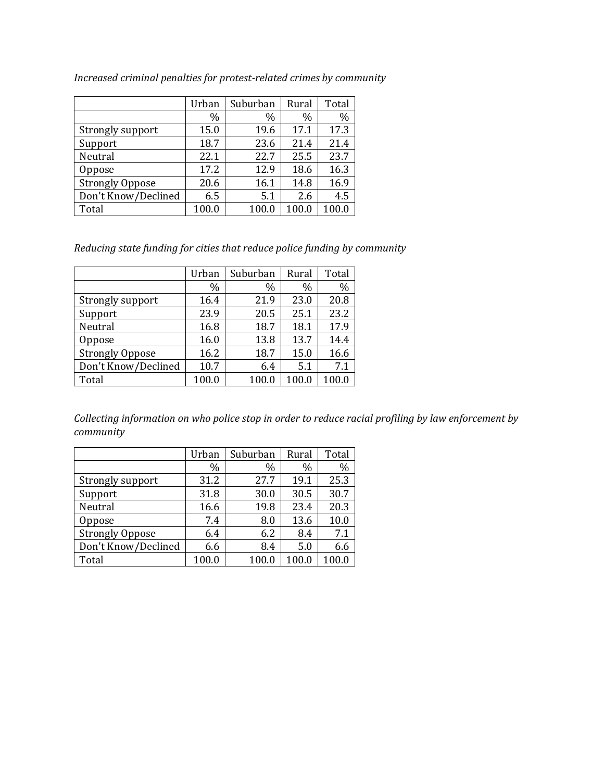|                        | Urban | Suburban | Rural | Total |
|------------------------|-------|----------|-------|-------|
|                        | $\%$  | $\%$     | $\%$  | $\%$  |
| Strongly support       | 15.0  | 19.6     | 17.1  | 17.3  |
| Support                | 18.7  | 23.6     | 21.4  | 21.4  |
| Neutral                | 22.1  | 22.7     | 25.5  | 23.7  |
| Oppose                 | 17.2  | 12.9     | 18.6  | 16.3  |
| <b>Strongly Oppose</b> | 20.6  | 16.1     | 14.8  | 16.9  |
| Don't Know/Declined    | 6.5   | 5.1      | 2.6   | 4.5   |
| Total                  | 100.0 | 100.0    | 100.0 | 100.0 |

*Increased criminal penalties for protest-related crimes by community*

*Reducing state funding for cities that reduce police funding by community*

|                        | Urban | Suburban | Rural | Total |
|------------------------|-------|----------|-------|-------|
|                        | $\%$  | $\%$     | $\%$  | $\%$  |
| Strongly support       | 16.4  | 21.9     | 23.0  | 20.8  |
| Support                | 23.9  | 20.5     | 25.1  | 23.2  |
| Neutral                | 16.8  | 18.7     | 18.1  | 17.9  |
| Oppose                 | 16.0  | 13.8     | 13.7  | 14.4  |
| <b>Strongly Oppose</b> | 16.2  | 18.7     | 15.0  | 16.6  |
| Don't Know/Declined    | 10.7  | 6.4      | 5.1   | 7.1   |
| Total                  | 100.0 | 100.0    | 100.0 | 100.0 |

*Collecting information on who police stop in order to reduce racial profiling by law enforcement by community*

|                        | Urban | Suburban | Rural | Total |
|------------------------|-------|----------|-------|-------|
|                        | $\%$  | $\%$     | $\%$  | $\%$  |
| Strongly support       | 31.2  | 27.7     | 19.1  | 25.3  |
| Support                | 31.8  | 30.0     | 30.5  | 30.7  |
| Neutral                | 16.6  | 19.8     | 23.4  | 20.3  |
| Oppose                 | 7.4   | 8.0      | 13.6  | 10.0  |
| <b>Strongly Oppose</b> | 6.4   | 6.2      | 8.4   | 7.1   |
| Don't Know/Declined    | 6.6   | 8.4      | 5.0   | 6.6   |
| Total                  | 100.0 | 100.0    | 100.0 | 100.0 |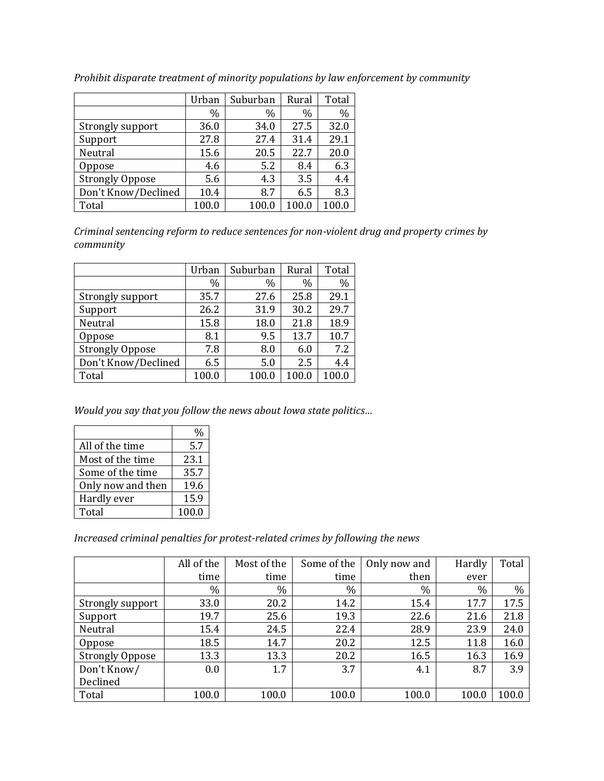|                        | Urban | Suburban | Rural | Total |
|------------------------|-------|----------|-------|-------|
|                        | $\%$  | $\%$     | $\%$  | $\%$  |
| Strongly support       | 36.0  | 34.0     | 27.5  | 32.0  |
| Support                | 27.8  | 27.4     | 31.4  | 29.1  |
| Neutral                | 15.6  | 20.5     | 22.7  | 20.0  |
| Oppose                 | 4.6   | 5.2      | 8.4   | 6.3   |
| <b>Strongly Oppose</b> | 5.6   | 4.3      | 3.5   | 4.4   |
| Don't Know/Declined    | 10.4  | 8.7      | 6.5   | 8.3   |
| Total                  | 100.0 | 100.0    | 100.0 | 100.0 |

*Prohibit disparate treatment of minority populations by law enforcement by community*

*Criminal sentencing reform to reduce sentences for non-violent drug and property crimes by community*

|                        | Urban | Suburban | Rural | Total |
|------------------------|-------|----------|-------|-------|
|                        | $\%$  | $\%$     | $\%$  | $\%$  |
| Strongly support       | 35.7  | 27.6     | 25.8  | 29.1  |
| Support                | 26.2  | 31.9     | 30.2  | 29.7  |
| Neutral                | 15.8  | 18.0     | 21.8  | 18.9  |
| Oppose                 | 8.1   | 9.5      | 13.7  | 10.7  |
| <b>Strongly Oppose</b> | 7.8   | 8.0      | 6.0   | 7.2   |
| Don't Know/Declined    | 6.5   | 5.0      | 2.5   | 4.4   |
| Total                  | 100.0 | 100.0    | 100.0 | 100.0 |

*Would you say that you follow the news about Iowa state politics…*

|                   | %     |
|-------------------|-------|
| All of the time   | 5.7   |
| Most of the time  | 23.1  |
| Some of the time  | 35.7  |
| Only now and then | 19.6  |
| Hardly ever       | 15.9  |
| Total             | 100.0 |

*Increased criminal penalties for protest-related crimes by following the news*

|                        | All of the | Most of the | Some of the | Only now and | Hardly | Total |
|------------------------|------------|-------------|-------------|--------------|--------|-------|
|                        | time       | time        | time        | then         | ever   |       |
|                        | $\%$       | $\%$        | $\%$        | %            | $\%$   | $\%$  |
| Strongly support       | 33.0       | 20.2        | 14.2        | 15.4         | 17.7   | 17.5  |
| Support                | 19.7       | 25.6        | 19.3        | 22.6         | 21.6   | 21.8  |
| Neutral                | 15.4       | 24.5        | 22.4        | 28.9         | 23.9   | 24.0  |
| Oppose                 | 18.5       | 14.7        | 20.2        | 12.5         | 11.8   | 16.0  |
| <b>Strongly Oppose</b> | 13.3       | 13.3        | 20.2        | 16.5         | 16.3   | 16.9  |
| Don't Know/            | 0.0        | 1.7         | 3.7         | 4.1          | 8.7    | 3.9   |
| Declined               |            |             |             |              |        |       |
| Total                  | 100.0      | 100.0       | 100.0       | 100.0        | 100.0  | 100.0 |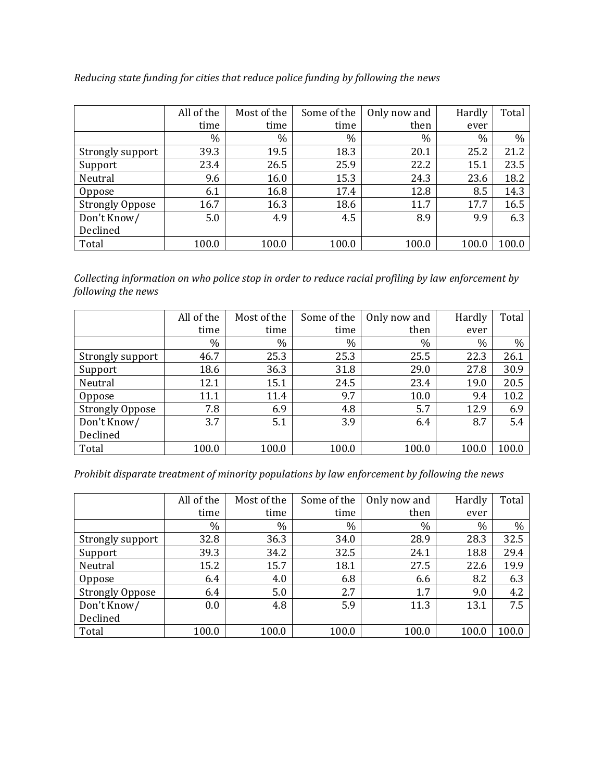|                        | All of the | Most of the | Some of the | Only now and | Hardly | Total |
|------------------------|------------|-------------|-------------|--------------|--------|-------|
|                        | time       | time        | time        | then         | ever   |       |
|                        | $\%$       | $\%$        | $\%$        | %            | $\%$   | $\%$  |
| Strongly support       | 39.3       | 19.5        | 18.3        | 20.1         | 25.2   | 21.2  |
| Support                | 23.4       | 26.5        | 25.9        | 22.2         | 15.1   | 23.5  |
| Neutral                | 9.6        | 16.0        | 15.3        | 24.3         | 23.6   | 18.2  |
| Oppose                 | 6.1        | 16.8        | 17.4        | 12.8         | 8.5    | 14.3  |
| <b>Strongly Oppose</b> | 16.7       | 16.3        | 18.6        | 11.7         | 17.7   | 16.5  |
| Don't Know/            | 5.0        | 4.9         | 4.5         | 8.9          | 9.9    | 6.3   |
| Declined               |            |             |             |              |        |       |
| Total                  | 100.0      | 100.0       | 100.0       | 100.0        | 100.0  | 100.0 |

*Reducing state funding for cities that reduce police funding by following the news*

*Collecting information on who police stop in order to reduce racial profiling by law enforcement by following the news*

|                        | All of the | Most of the | Some of the | Only now and | Hardly | Total |
|------------------------|------------|-------------|-------------|--------------|--------|-------|
|                        | time       | time        | time        | then         | ever   |       |
|                        | $\%$       | $\%$        | $\%$        | %            | $\%$   | $\%$  |
| Strongly support       | 46.7       | 25.3        | 25.3        | 25.5         | 22.3   | 26.1  |
| Support                | 18.6       | 36.3        | 31.8        | 29.0         | 27.8   | 30.9  |
| Neutral                | 12.1       | 15.1        | 24.5        | 23.4         | 19.0   | 20.5  |
| <b>Oppose</b>          | 11.1       | 11.4        | 9.7         | 10.0         | 9.4    | 10.2  |
| <b>Strongly Oppose</b> | 7.8        | 6.9         | 4.8         | 5.7          | 12.9   | 6.9   |
| Don't Know/            | 3.7        | 5.1         | 3.9         | 6.4          | 8.7    | 5.4   |
| Declined               |            |             |             |              |        |       |
| Total                  | 100.0      | 100.0       | 100.0       | 100.0        | 100.0  | 100.0 |

*Prohibit disparate treatment of minority populations by law enforcement by following the news*

|                        | All of the | Most of the | Some of the | Only now and | Hardly | Total |
|------------------------|------------|-------------|-------------|--------------|--------|-------|
|                        | time       | time        | time        | then         | ever   |       |
|                        | $\%$       | $\%$        | $\%$        | $\%$         | $\%$   | $\%$  |
| Strongly support       | 32.8       | 36.3        | 34.0        | 28.9         | 28.3   | 32.5  |
| Support                | 39.3       | 34.2        | 32.5        | 24.1         | 18.8   | 29.4  |
| Neutral                | 15.2       | 15.7        | 18.1        | 27.5         | 22.6   | 19.9  |
| Oppose                 | 6.4        | 4.0         | 6.8         | 6.6          | 8.2    | 6.3   |
| <b>Strongly Oppose</b> | 6.4        | 5.0         | 2.7         | 1.7          | 9.0    | 4.2   |
| Don't Know/            | 0.0        | 4.8         | 5.9         | 11.3         | 13.1   | 7.5   |
| Declined               |            |             |             |              |        |       |
| Total                  | 100.0      | 100.0       | 100.0       | 100.0        | 100.0  | 100.0 |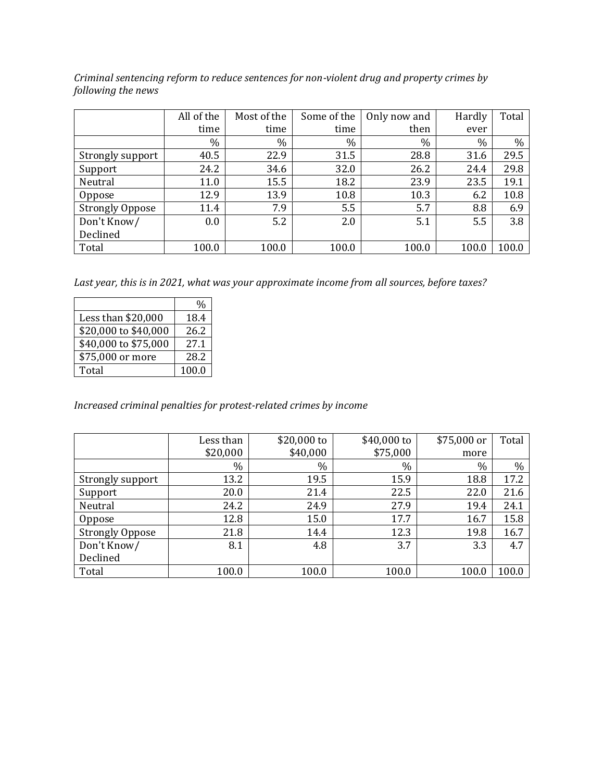*Criminal sentencing reform to reduce sentences for non-violent drug and property crimes by following the news*

|                        | All of the | Most of the | Some of the | Only now and | Hardly | Total |
|------------------------|------------|-------------|-------------|--------------|--------|-------|
|                        | time       | time        | time        | then         | ever   |       |
|                        | %          | %           | $\%$        | %            | $\%$   | $\%$  |
| Strongly support       | 40.5       | 22.9        | 31.5        | 28.8         | 31.6   | 29.5  |
| Support                | 24.2       | 34.6        | 32.0        | 26.2         | 24.4   | 29.8  |
| Neutral                | 11.0       | 15.5        | 18.2        | 23.9         | 23.5   | 19.1  |
| Oppose                 | 12.9       | 13.9        | 10.8        | 10.3         | 6.2    | 10.8  |
| <b>Strongly Oppose</b> | 11.4       | 7.9         | 5.5         | 5.7          | 8.8    | 6.9   |
| Don't Know/            | 0.0        | 5.2         | 2.0         | 5.1          | 5.5    | 3.8   |
| Declined               |            |             |             |              |        |       |
| Total                  | 100.0      | 100.0       | 100.0       | 100.0        | 100.0  | 100.0 |

*Last year, this is in 2021, what was your approximate income from all sources, before taxes?*

|                      | $\frac{0}{0}$ |
|----------------------|---------------|
| Less than \$20,000   | 18.4          |
| \$20,000 to \$40,000 | 26.2          |
| \$40,000 to \$75,000 | 27.1          |
| \$75,000 or more     | 28.2          |
| Total                | 100.0         |

## *Increased criminal penalties for protest-related crimes by income*

|                        | Less than | \$20,000 to | $$40,000$ to | \$75,000 or | Total |
|------------------------|-----------|-------------|--------------|-------------|-------|
|                        | \$20,000  | \$40,000    | \$75,000     | more        |       |
|                        | $\%$      | $\%$        | $\%$         | $\%$        | $\%$  |
| Strongly support       | 13.2      | 19.5        | 15.9         | 18.8        | 17.2  |
| Support                | 20.0      | 21.4        | 22.5         | 22.0        | 21.6  |
| Neutral                | 24.2      | 24.9        | 27.9         | 19.4        | 24.1  |
| Oppose                 | 12.8      | 15.0        | 17.7         | 16.7        | 15.8  |
| <b>Strongly Oppose</b> | 21.8      | 14.4        | 12.3         | 19.8        | 16.7  |
| Don't Know/            | 8.1       | 4.8         | 3.7          | 3.3         | 4.7   |
| Declined               |           |             |              |             |       |
| Total                  | 100.0     | 100.0       | 100.0        | 100.0       | 100.0 |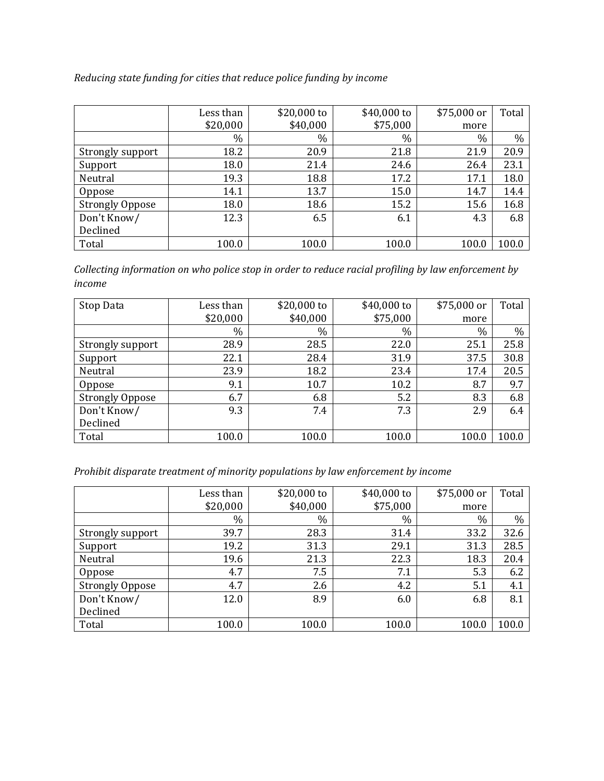|                        | Less than | \$20,000 to | \$40,000 to | \$75,000 or | Total |
|------------------------|-----------|-------------|-------------|-------------|-------|
|                        | \$20,000  | \$40,000    | \$75,000    | more        |       |
|                        | %         | $\%$        | $\%$        | $\%$        | $\%$  |
| Strongly support       | 18.2      | 20.9        | 21.8        | 21.9        | 20.9  |
| Support                | 18.0      | 21.4        | 24.6        | 26.4        | 23.1  |
| Neutral                | 19.3      | 18.8        | 17.2        | 17.1        | 18.0  |
| Oppose                 | 14.1      | 13.7        | 15.0        | 14.7        | 14.4  |
| <b>Strongly Oppose</b> | 18.0      | 18.6        | 15.2        | 15.6        | 16.8  |
| Don't Know/            | 12.3      | 6.5         | 6.1         | 4.3         | 6.8   |
| Declined               |           |             |             |             |       |
| Total                  | 100.0     | 100.0       | 100.0       | 100.0       | 100.0 |

*Collecting information on who police stop in order to reduce racial profiling by law enforcement by income*

| Stop Data              | Less than | \$20,000 to | \$40,000 to | \$75,000 or | Total |
|------------------------|-----------|-------------|-------------|-------------|-------|
|                        | \$20,000  | \$40,000    | \$75,000    | more        |       |
|                        | $\%$      | $\%$        | $\%$        | $\%$        | $\%$  |
| Strongly support       | 28.9      | 28.5        | 22.0        | 25.1        | 25.8  |
| Support                | 22.1      | 28.4        | 31.9        | 37.5        | 30.8  |
| Neutral                | 23.9      | 18.2        | 23.4        | 17.4        | 20.5  |
| Oppose                 | 9.1       | 10.7        | 10.2        | 8.7         | 9.7   |
| <b>Strongly Oppose</b> | 6.7       | 6.8         | 5.2         | 8.3         | 6.8   |
| Don't Know/            | 9.3       | 7.4         | 7.3         | 2.9         | 6.4   |
| Declined               |           |             |             |             |       |
| Total                  | 100.0     | 100.0       | 100.0       | 100.0       | 100.0 |

*Prohibit disparate treatment of minority populations by law enforcement by income* 

|                        | Less than | \$20,000 to | \$40,000 to | \$75,000 or | Total |
|------------------------|-----------|-------------|-------------|-------------|-------|
|                        | \$20,000  | \$40,000    | \$75,000    | more        |       |
|                        | $\%$      | $\%$        | $\%$        | $\%$        | $\%$  |
| Strongly support       | 39.7      | 28.3        | 31.4        | 33.2        | 32.6  |
| Support                | 19.2      | 31.3        | 29.1        | 31.3        | 28.5  |
| Neutral                | 19.6      | 21.3        | 22.3        | 18.3        | 20.4  |
| Oppose                 | 4.7       | 7.5         | 7.1         | 5.3         | 6.2   |
| <b>Strongly Oppose</b> | 4.7       | 2.6         | 4.2         | 5.1         | 4.1   |
| Don't Know/            | 12.0      | 8.9         | 6.0         | 6.8         | 8.1   |
| Declined               |           |             |             |             |       |
| Total                  | 100.0     | 100.0       | 100.0       | 100.0       | 100.0 |